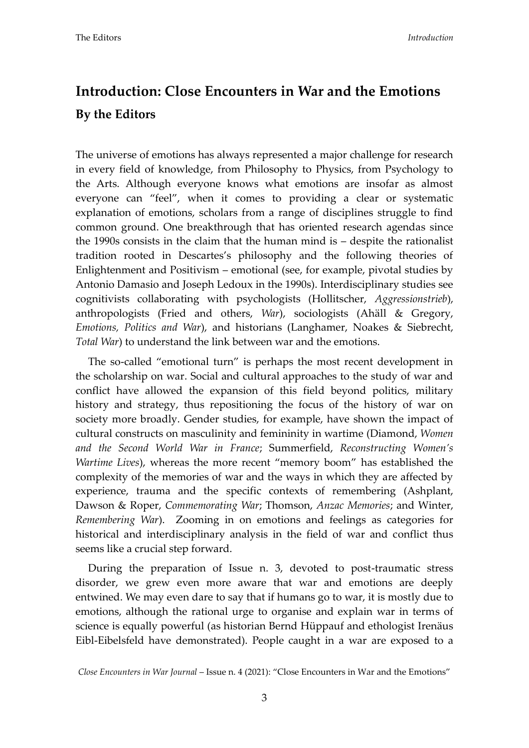## **Introduction: Close Encounters in War and the Emotions By the Editors**

The universe of emotions has always represented a major challenge for research in every field of knowledge, from Philosophy to Physics, from Psychology to the Arts. Although everyone knows what emotions are insofar as almost everyone can 'feel', when it comes to providing a clear or systematic explanation of emotions, scholars from a range of disciplines struggle to find common ground. One breakthrough that has oriented research agendas since the 1990s consists in the claim that the human mind is – despite the rationalist tradition rooted in Descartes's philosophy and the following theories of Enlightenment and Positivism – emotional (see, for example, pivotal studies by Antonio Damasio and Joseph Ledoux in the 1990s). Interdisciplinary studies see cognitivists collaborating with psychologists (Hollitscher, *Aggressionstrieb*), anthropologists (Fried and others, *War*), sociologists (Ahäll & Gregory, *Emotions, Politics and War*), and historians (Langhamer, Noakes & Siebrecht, *Total War*) to understand the link between war and the emotions.

The so-called 'emotional turn' is perhaps the most recent development in the scholarship on war. Social and cultural approaches to the study of war and conflict have allowed the expansion of this field beyond politics, military history and strategy, thus repositioning the focus of the history of war on society more broadly. Gender studies, for example, have shown the impact of cultural constructs on masculinity and femininity in wartime (Diamond, *Women and the Second World War in France*; Summerfield, *Reconstructing Women's Wartime Lives*), whereas the more recent 'memory boom' has established the complexity of the memories of war and the ways in which they are affected by experience, trauma and the specific contexts of remembering (Ashplant, Dawson & Roper, *Commemorating War*; Thomson, *Anzac Memories*; and Winter, *Remembering War*). Zooming in on emotions and feelings as categories for historical and interdisciplinary analysis in the field of war and conflict thus seems like a crucial step forward.

During the preparation of Issue n. 3, devoted to post-traumatic stress disorder, we grew even more aware that war and emotions are deeply entwined. We may even dare to say that if humans go to war, it is mostly due to emotions, although the rational urge to organise and explain war in terms of science is equally powerful (as historian Bernd Hüppauf and ethologist Irenäus Eibl-Eibelsfeld have demonstrated). People caught in a war are exposed to a

*Close Encounters in War Journal* – Issue n. 4 (2021): 'Close Encounters in War and the Emotions'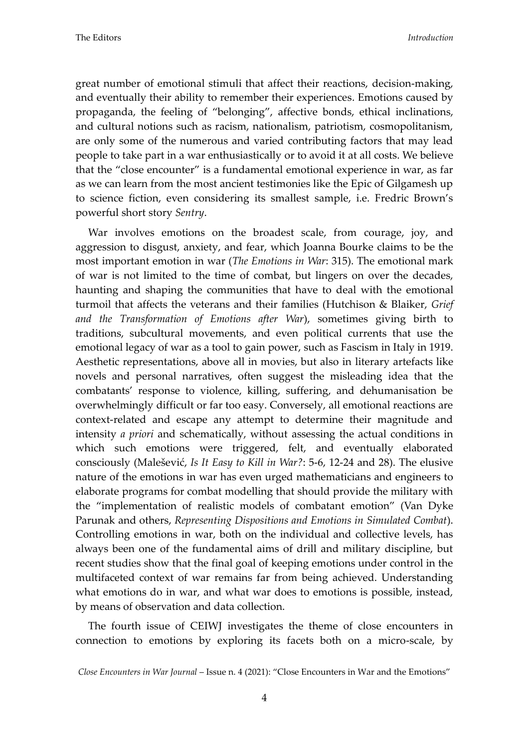great number of emotional stimuli that affect their reactions, decision-making, and eventually their ability to remember their experiences. Emotions caused by propaganda, the feeling of 'belonging', affective bonds, ethical inclinations, and cultural notions such as racism, nationalism, patriotism, cosmopolitanism, are only some of the numerous and varied contributing factors that may lead people to take part in a war enthusiastically or to avoid it at all costs. We believe that the 'close encounter' is a fundamental emotional experience in war, as far as we can learn from the most ancient testimonies like the Epic of Gilgamesh up to science fiction, even considering its smallest sample, i.e. Fredric Brown's powerful short story *Sentry*.

War involves emotions on the broadest scale, from courage, joy, and aggression to disgust, anxiety, and fear, which Joanna Bourke claims to be the most important emotion in war (*The Emotions in War*: 315). The emotional mark of war is not limited to the time of combat, but lingers on over the decades, haunting and shaping the communities that have to deal with the emotional turmoil that affects the veterans and their families (Hutchison & Blaiker, *Grief and the Transformation of Emotions after War*), sometimes giving birth to traditions, subcultural movements, and even political currents that use the emotional legacy of war as a tool to gain power, such as Fascism in Italy in 1919. Aesthetic representations, above all in movies, but also in literary artefacts like novels and personal narratives, often suggest the misleading idea that the combatants' response to violence, killing, suffering, and dehumanisation be overwhelmingly difficult or far too easy. Conversely, all emotional reactions are context-related and escape any attempt to determine their magnitude and intensity *a priori* and schematically, without assessing the actual conditions in which such emotions were triggered, felt, and eventually elaborated consciously (Malešević, *Is It Easy to Kill in War?*: 5-6, 12-24 and 28). The elusive nature of the emotions in war has even urged mathematicians and engineers to elaborate programs for combat modelling that should provide the military with the 'implementation of realistic models of combatant emotion' (Van Dyke Parunak and others, *Representing Dispositions and Emotions in Simulated Combat*). Controlling emotions in war, both on the individual and collective levels, has always been one of the fundamental aims of drill and military discipline, but recent studies show that the final goal of keeping emotions under control in the multifaceted context of war remains far from being achieved. Understanding what emotions do in war, and what war does to emotions is possible, instead, by means of observation and data collection.

The fourth issue of CEIWJ investigates the theme of close encounters in connection to emotions by exploring its facets both on a micro-scale, by

*Close Encounters in War Journal* – Issue n. 4 (2021): 'Close Encounters in War and the Emotions'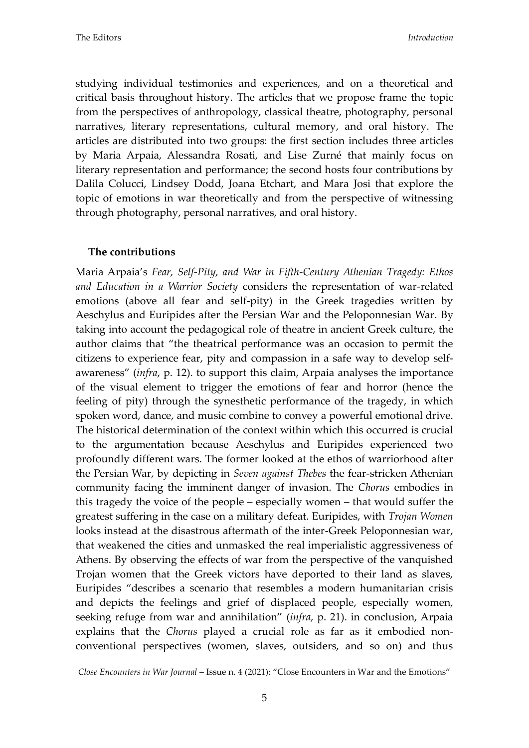studying individual testimonies and experiences, and on a theoretical and critical basis throughout history. The articles that we propose frame the topic from the perspectives of anthropology, classical theatre, photography, personal narratives, literary representations, cultural memory, and oral history. The articles are distributed into two groups: the first section includes three articles by Maria Arpaia, Alessandra Rosati, and Lise Zurné that mainly focus on literary representation and performance; the second hosts four contributions by Dalila Colucci, Lindsey Dodd, Joana Etchart, and Mara Josi that explore the topic of emotions in war theoretically and from the perspective of witnessing through photography, personal narratives, and oral history.

## **The contributions**

Maria Arpaia's *Fear, Self-Pity, and War in Fifth-Century Athenian Tragedy: Ethos and Education in a Warrior Society* considers the representation of war-related emotions (above all fear and self-pity) in the Greek tragedies written by Aeschylus and Euripides after the Persian War and the Peloponnesian War. By taking into account the pedagogical role of theatre in ancient Greek culture, the author claims that 'the theatrical performance was an occasion to permit the citizens to experience fear, pity and compassion in a safe way to develop selfawareness' (*infra*, p. 12). to support this claim, Arpaia analyses the importance of the visual element to trigger the emotions of fear and horror (hence the feeling of pity) through the synesthetic performance of the tragedy, in which spoken word, dance, and music combine to convey a powerful emotional drive. The historical determination of the context within which this occurred is crucial to the argumentation because Aeschylus and Euripides experienced two profoundly different wars. The former looked at the ethos of warriorhood after the Persian War, by depicting in *Seven against Thebes* the fear-stricken Athenian community facing the imminent danger of invasion. The *Chorus* embodies in this tragedy the voice of the people – especially women – that would suffer the greatest suffering in the case on a military defeat. Euripides, with *Trojan Women* looks instead at the disastrous aftermath of the inter-Greek Peloponnesian war, that weakened the cities and unmasked the real imperialistic aggressiveness of Athens. By observing the effects of war from the perspective of the vanquished Trojan women that the Greek victors have deported to their land as slaves, Euripides 'describes a scenario that resembles a modern humanitarian crisis and depicts the feelings and grief of displaced people, especially women, seeking refuge from war and annihilation' (*infra*, p. 21). in conclusion, Arpaia explains that the *Chorus* played a crucial role as far as it embodied nonconventional perspectives (women, slaves, outsiders, and so on) and thus

*Close Encounters in War Journal* – Issue n. 4 (2021): 'Close Encounters in War and the Emotions'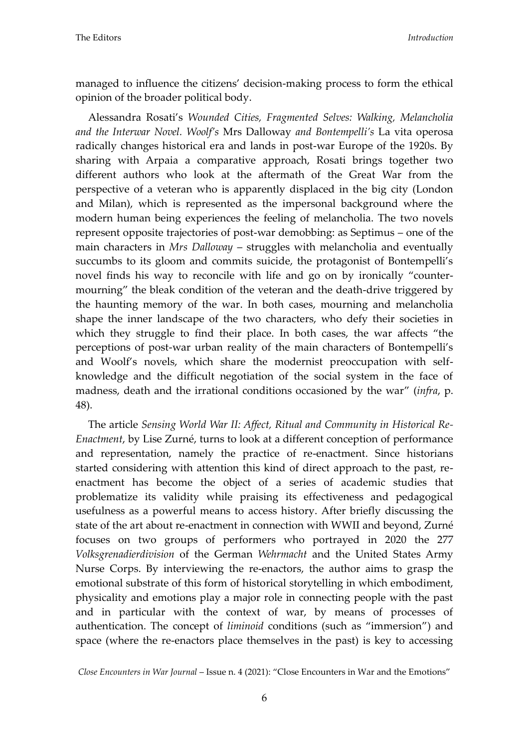managed to influence the citizens' decision-making process to form the ethical opinion of the broader political body.

Alessandra Rosati's *Wounded Cities, Fragmented Selves: Walking, Melancholia and the Interwar Novel. Woolf's* Mrs Dalloway *and Bontempelli's* La vita operosa radically changes historical era and lands in post-war Europe of the 1920s. By sharing with Arpaia a comparative approach, Rosati brings together two different authors who look at the aftermath of the Great War from the perspective of a veteran who is apparently displaced in the big city (London and Milan), which is represented as the impersonal background where the modern human being experiences the feeling of melancholia. The two novels represent opposite trajectories of post-war demobbing: as Septimus – one of the main characters in *Mrs Dalloway* – struggles with melancholia and eventually succumbs to its gloom and commits suicide, the protagonist of Bontempelli's novel finds his way to reconcile with life and go on by ironically 'countermourning' the bleak condition of the veteran and the death-drive triggered by the haunting memory of the war. In both cases, mourning and melancholia shape the inner landscape of the two characters, who defy their societies in which they struggle to find their place. In both cases, the war affects "the perceptions of post-war urban reality of the main characters of Bontempelli's and Woolf's novels, which share the modernist preoccupation with selfknowledge and the difficult negotiation of the social system in the face of madness, death and the irrational conditions occasioned by the war' (*infra*, p. 48).

The article *Sensing World War II: Affect, Ritual and Community in Historical Re-Enactment*, by Lise Zurné, turns to look at a different conception of performance and representation, namely the practice of re-enactment. Since historians started considering with attention this kind of direct approach to the past, reenactment has become the object of a series of academic studies that problematize its validity while praising its effectiveness and pedagogical usefulness as a powerful means to access history. After briefly discussing the state of the art about re-enactment in connection with WWII and beyond, Zurné focuses on two groups of performers who portrayed in 2020 the 277 *Volksgrenadierdivision* of the German *Wehrmacht* and the United States Army Nurse Corps. By interviewing the re-enactors, the author aims to grasp the emotional substrate of this form of historical storytelling in which embodiment, physicality and emotions play a major role in connecting people with the past and in particular with the context of war, by means of processes of authentication. The concept of *liminoid* conditions (such as 'immersion') and space (where the re-enactors place themselves in the past) is key to accessing

*Close Encounters in War Journal* – Issue n. 4 (2021): 'Close Encounters in War and the Emotions'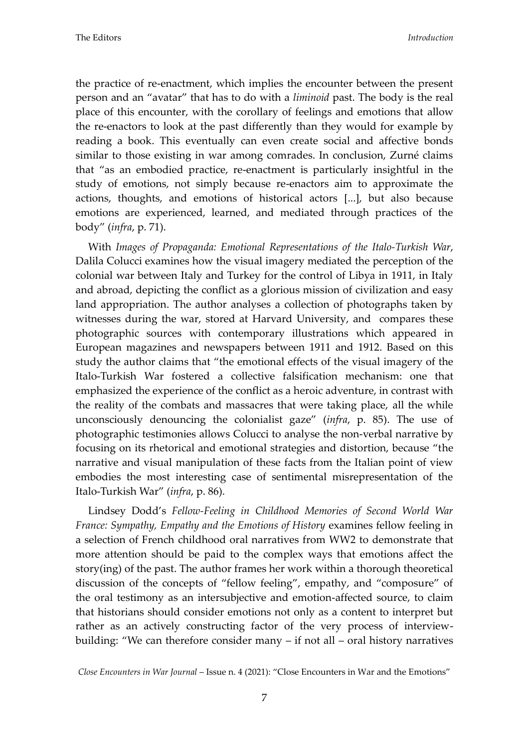the practice of re-enactment, which implies the encounter between the present person and an 'avatar' that has to do with a *liminoid* past. The body is the real place of this encounter, with the corollary of feelings and emotions that allow the re-enactors to look at the past differently than they would for example by reading a book. This eventually can even create social and affective bonds similar to those existing in war among comrades. In conclusion, Zurné claims that 'as an embodied practice, re-enactment is particularly insightful in the study of emotions, not simply because re-enactors aim to approximate the actions, thoughts, and emotions of historical actors [...], but also because emotions are experienced, learned, and mediated through practices of the body' (*infra*, p. 71).

With *Images of Propaganda: Emotional Representations of the Italo-Turkish War*, Dalila Colucci examines how the visual imagery mediated the perception of the colonial war between Italy and Turkey for the control of Libya in 1911, in Italy and abroad, depicting the conflict as a glorious mission of civilization and easy land appropriation. The author analyses a collection of photographs taken by witnesses during the war, stored at Harvard University, and compares these photographic sources with contemporary illustrations which appeared in European magazines and newspapers between 1911 and 1912. Based on this study the author claims that 'the emotional effects of the visual imagery of the Italo-Turkish War fostered a collective falsification mechanism: one that emphasized the experience of the conflict as a heroic adventure, in contrast with the reality of the combats and massacres that were taking place, all the while unconsciously denouncing the colonialist gaze' (*infra*, p. 85). The use of photographic testimonies allows Colucci to analyse the non-verbal narrative by focusing on its rhetorical and emotional strategies and distortion, because 'the narrative and visual manipulation of these facts from the Italian point of view embodies the most interesting case of sentimental misrepresentation of the Italo-Turkish War' (*infra*, p. 86).

Lindsey Dodd's *Fellow-Feeling in Childhood Memories of Second World War France: Sympathy, Empathy and the Emotions of History* examines fellow feeling in a selection of French childhood oral narratives from WW2 to demonstrate that more attention should be paid to the complex ways that emotions affect the story(ing) of the past. The author frames her work within a thorough theoretical discussion of the concepts of 'fellow feeling', empathy, and 'composure' of the oral testimony as an intersubjective and emotion-affected source, to claim that historians should consider emotions not only as a content to interpret but rather as an actively constructing factor of the very process of interviewbuilding: 'We can therefore consider many – if not all – oral history narratives

*Close Encounters in War Journal* – Issue n. 4 (2021): 'Close Encounters in War and the Emotions'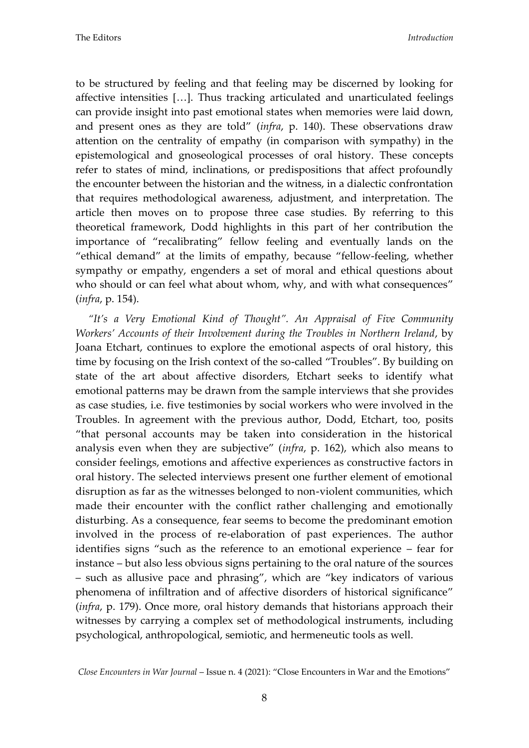to be structured by feeling and that feeling may be discerned by looking for affective intensities  $[...]$ . Thus tracking articulated and unarticulated feelings can provide insight into past emotional states when memories were laid down, and present ones as they are told' (*infra*, p. 140). These observations draw attention on the centrality of empathy (in comparison with sympathy) in the epistemological and gnoseological processes of oral history. These concepts refer to states of mind, inclinations, or predispositions that affect profoundly the encounter between the historian and the witness, in a dialectic confrontation that requires methodological awareness, adjustment, and interpretation. The article then moves on to propose three case studies. By referring to this theoretical framework, Dodd highlights in this part of her contribution the importance of 'recalibrating' fellow feeling and eventually lands on the 'ethical demand' at the limits of empathy, because 'fellow-feeling, whether sympathy or empathy, engenders a set of moral and ethical questions about who should or can feel what about whom, why, and with what consequences" (*infra*, p. 154).

*"It's a Very Emotional Kind of Thought". An Appraisal of Five Community Workers' Accounts of their Involvement during the Troubles in Northern Ireland*, by Joana Etchart, continues to explore the emotional aspects of oral history, this time by focusing on the Irish context of the so-called 'Troubles'. By building on state of the art about affective disorders, Etchart seeks to identify what emotional patterns may be drawn from the sample interviews that she provides as case studies, i.e. five testimonies by social workers who were involved in the Troubles. In agreement with the previous author, Dodd, Etchart, too, posits 'that personal accounts may be taken into consideration in the historical analysis even when they are subjective' (*infra*, p. 162), which also means to consider feelings, emotions and affective experiences as constructive factors in oral history. The selected interviews present one further element of emotional disruption as far as the witnesses belonged to non-violent communities, which made their encounter with the conflict rather challenging and emotionally disturbing. As a consequence, fear seems to become the predominant emotion involved in the process of re-elaboration of past experiences. The author identifies signs 'such as the reference to an emotional experience – fear for instance – but also less obvious signs pertaining to the oral nature of the sources – such as allusive pace and phrasing', which are 'key indicators of various phenomena of infiltration and of affective disorders of historical significance' (*infra*, p. 179). Once more, oral history demands that historians approach their witnesses by carrying a complex set of methodological instruments, including psychological, anthropological, semiotic, and hermeneutic tools as well.

*Close Encounters in War Journal* – Issue n. 4 (2021): 'Close Encounters in War and the Emotions'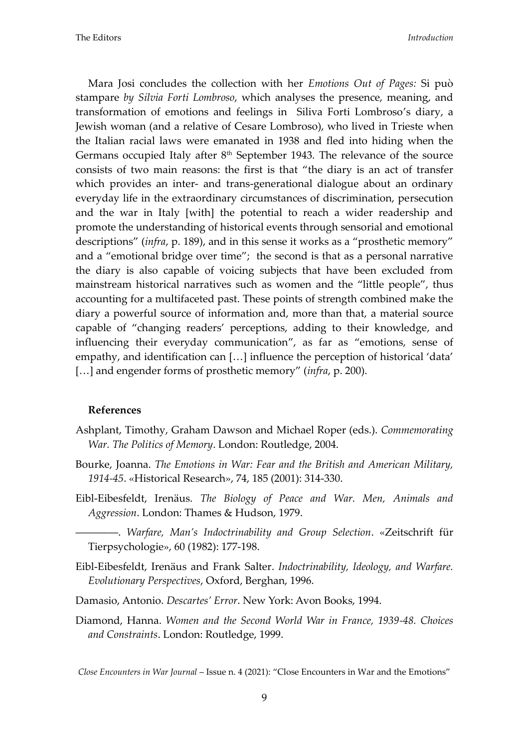Mara Josi concludes the collection with her *Emotions Out of Pages:* Si può stampare *by Silvia Forti Lombroso*, which analyses the presence, meaning, and transformation of emotions and feelings in Siliva Forti Lombroso's diary, a Jewish woman (and a relative of Cesare Lombroso), who lived in Trieste when the Italian racial laws were emanated in 1938 and fled into hiding when the Germans occupied Italy after 8<sup>th</sup> September 1943. The relevance of the source consists of two main reasons: the first is that 'the diary is an act of transfer which provides an inter- and trans-generational dialogue about an ordinary everyday life in the extraordinary circumstances of discrimination, persecution and the war in Italy [with] the potential to reach a wider readership and promote the understanding of historical events through sensorial and emotional descriptions" (*infra*, p. 189), and in this sense it works as a "prosthetic memory" and a 'emotional bridge over time'; the second is that as a personal narrative the diary is also capable of voicing subjects that have been excluded from mainstream historical narratives such as women and the 'little people', thus accounting for a multifaceted past. These points of strength combined make the diary a powerful source of information and, more than that, a material source capable of 'changing readers' perceptions, adding to their knowledge, and influencing their everyday communication', as far as 'emotions, sense of empathy, and identification can  $[...]$  influence the perception of historical 'data' [...] and engender forms of prosthetic memory" (*infra*, p. 200).

## **References**

- Ashplant, Timothy, Graham Dawson and Michael Roper (eds.). *Commemorating War. The Politics of Memory*. London: Routledge, 2004.
- Bourke, Joanna. *The Emotions in War: Fear and the British and American Military, 1914-45*. «Historical Research», 74, 185 (2001): 314-330.
- Eibl-Eibesfeldt, Irenäus. *The Biology of Peace and War. Men, Animals and Aggression*. London: Thames & Hudson, 1979.
- ――――. *Warfare, Man's Indoctrinability and Group Selection*. «Zeitschrift für Tierpsychologie», 60 (1982): 177-198.
- Eibl-Eibesfeldt, Irenäus and Frank Salter. *Indoctrinability, Ideology, and Warfare. Evolutionary Perspectives*, Oxford, Berghan, 1996.
- Damasio, Antonio. *Descartes' Error*. New York: Avon Books, 1994.
- Diamond, Hanna. *Women and the Second World War in France, 1939-48. Choices and Constraints*. London: Routledge, 1999.

*Close Encounters in War Journal* – Issue n. 4 (2021): 'Close Encounters in War and the Emotions'